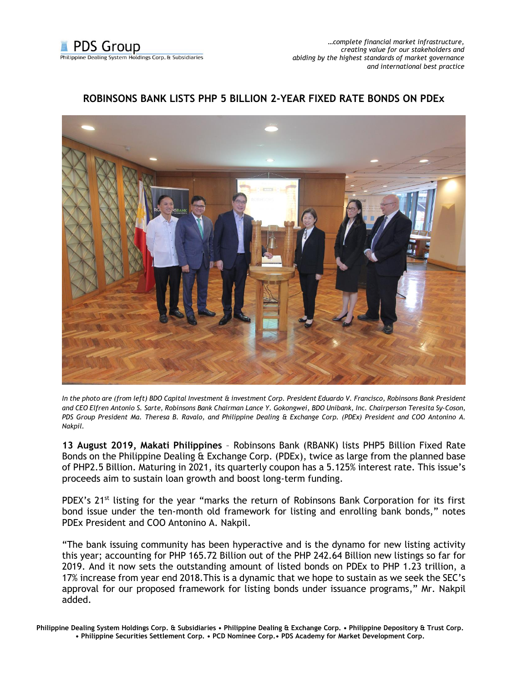

*…complete financial market infrastructure, creating value for our stakeholders and abiding by the highest standards of market governance and international best practice*

## **ROBINSONS BANK LISTS PHP 5 BILLION 2-YEAR FIXED RATE BONDS ON PDEx**



*In the photo are (from left) BDO Capital Investment & investment Corp. President Eduardo V. Francisco, Robinsons Bank President and CEO Elfren Antonio S. Sarte, Robinsons Bank Chairman Lance Y. Gokongwei, BDO Unibank, Inc. Chairperson Teresita Sy-Coson, PDS Group President Ma. Theresa B. Ravalo, and Philippine Dealing & Exchange Corp. (PDEx) President and COO Antonino A. Nakpil.*

**13 August 2019, Makati Philippines** – Robinsons Bank (RBANK) lists PHP5 Billion Fixed Rate Bonds on the Philippine Dealing & Exchange Corp. (PDEx), twice as large from the planned base of PHP2.5 Billion. Maturing in 2021, its quarterly coupon has a 5.125% interest rate. This issue's proceeds aim to sustain loan growth and boost long-term funding.

PDEX's 21<sup>st</sup> listing for the year "marks the return of Robinsons Bank Corporation for its first bond issue under the ten-month old framework for listing and enrolling bank bonds," notes PDEx President and COO Antonino A. Nakpil.

"The bank issuing community has been hyperactive and is the dynamo for new listing activity this year; accounting for PHP 165.72 Billion out of the PHP 242.64 Billion new listings so far for 2019. And it now sets the outstanding amount of listed bonds on PDEx to PHP 1.23 trillion, a 17% increase from year end 2018.This is a dynamic that we hope to sustain as we seek the SEC's approval for our proposed framework for listing bonds under issuance programs," Mr. Nakpil added.

**Philippine Dealing System Holdings Corp. & Subsidiaries • Philippine Dealing & Exchange Corp. • Philippine Depository & Trust Corp. • Philippine Securities Settlement Corp. • PCD Nominee Corp.• PDS Academy for Market Development Corp.**